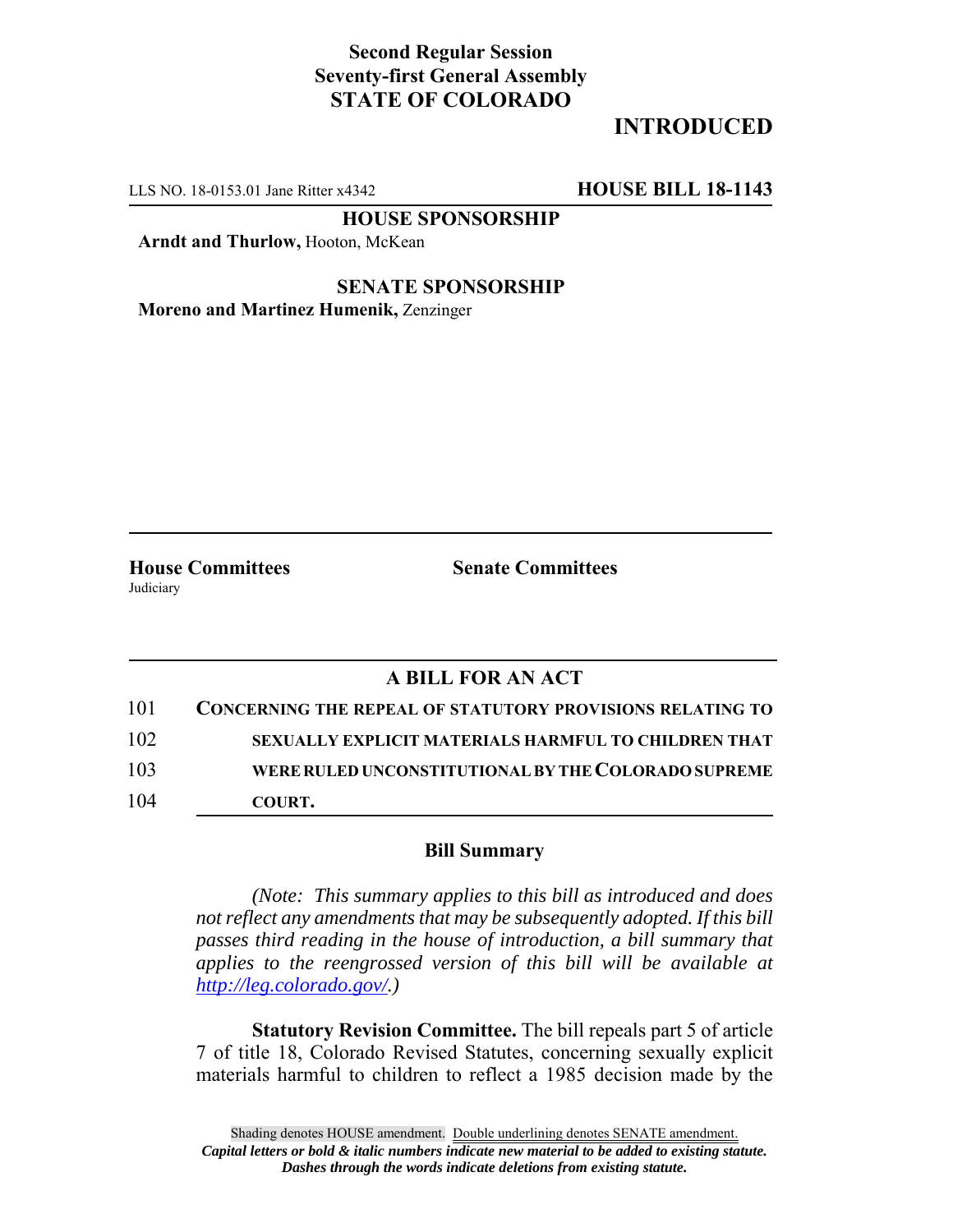## **Second Regular Session Seventy-first General Assembly STATE OF COLORADO**

## **INTRODUCED**

LLS NO. 18-0153.01 Jane Ritter x4342 **HOUSE BILL 18-1143**

**HOUSE SPONSORSHIP**

**Arndt and Thurlow,** Hooton, McKean

**SENATE SPONSORSHIP Moreno and Martinez Humenik,** Zenzinger

Judiciary

**House Committees Senate Committees**

## **A BILL FOR AN ACT**

| 101 | <b>CONCERNING THE REPEAL OF STATUTORY PROVISIONS RELATING TO</b> |
|-----|------------------------------------------------------------------|
| 102 | SEXUALLY EXPLICIT MATERIALS HARMFUL TO CHILDREN THAT             |
| 103 | WERE RULED UNCONSTITUTIONAL BY THE COLORADO SUPREME              |
| 104 | COURT.                                                           |

## **Bill Summary**

*(Note: This summary applies to this bill as introduced and does not reflect any amendments that may be subsequently adopted. If this bill passes third reading in the house of introduction, a bill summary that applies to the reengrossed version of this bill will be available at http://leg.colorado.gov/.)*

**Statutory Revision Committee.** The bill repeals part 5 of article 7 of title 18, Colorado Revised Statutes, concerning sexually explicit materials harmful to children to reflect a 1985 decision made by the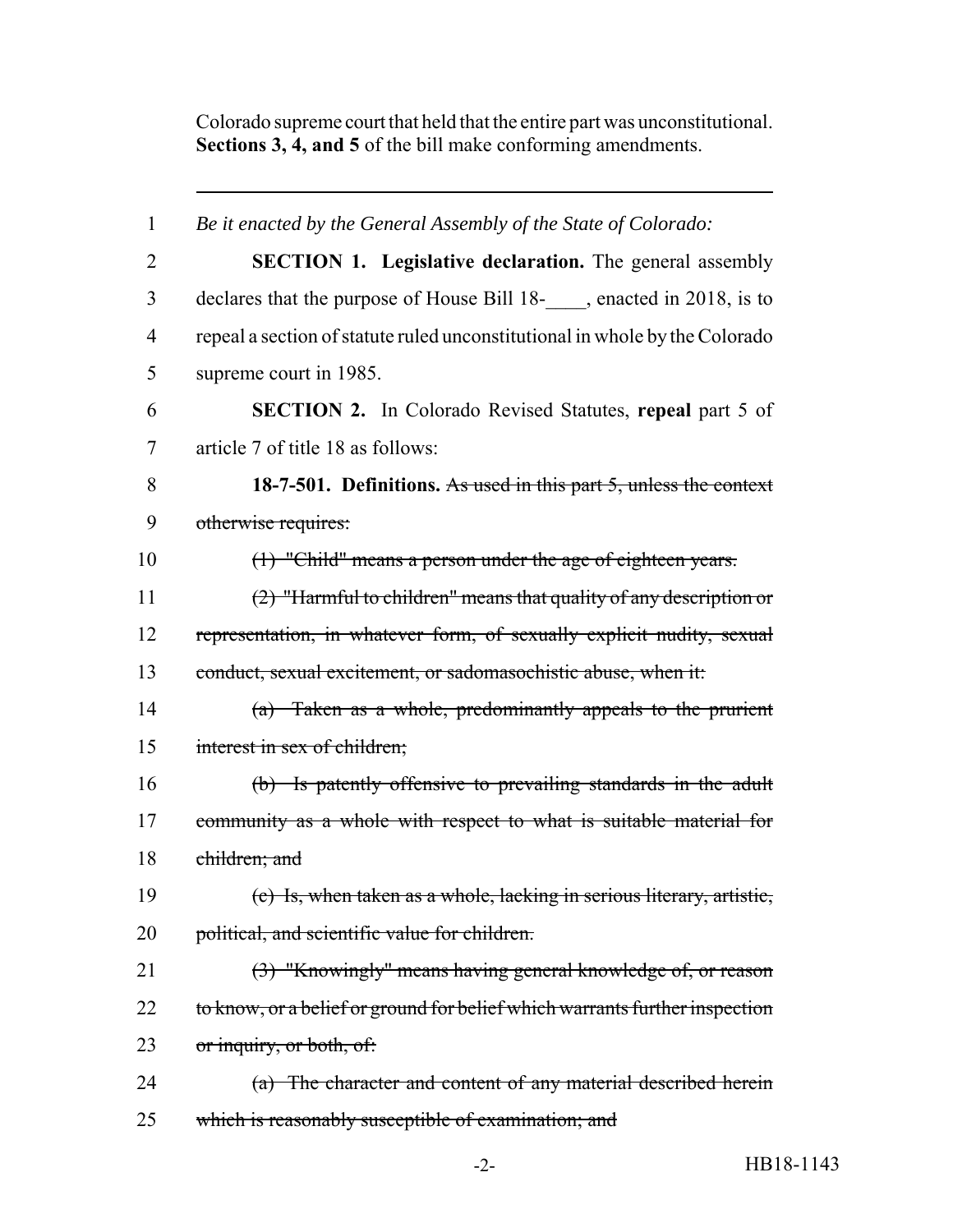Colorado supreme court that held that the entire part was unconstitutional. **Sections 3, 4, and 5** of the bill make conforming amendments.

| $\mathbf{1}$   | Be it enacted by the General Assembly of the State of Colorado:             |
|----------------|-----------------------------------------------------------------------------|
| $\overline{2}$ | <b>SECTION 1. Legislative declaration.</b> The general assembly             |
| 3              | declares that the purpose of House Bill 18-, enacted in 2018, is to         |
| $\overline{4}$ | repeal a section of statute ruled unconstitutional in whole by the Colorado |
| 5              | supreme court in 1985.                                                      |
| 6              | <b>SECTION 2.</b> In Colorado Revised Statutes, repeal part 5 of            |
| 7              | article 7 of title 18 as follows:                                           |
| 8              | 18-7-501. Definitions. As used in this part 5, unless the context           |
| 9              | otherwise requires:                                                         |
| 10             | (1) "Child" means a person under the age of eighteen years.                 |
| 11             | $(2)$ "Harmful to children" means that quality of any description or        |
| 12             | representation, in whatever form, of sexually explicit nudity, sexual       |
| 13             | conduct, sexual excitement, or sadomasochistic abuse, when it:              |
| 14             | (a) Taken as a whole, predominantly appeals to the prurient                 |
| 15             | interest in sex of children;                                                |
| 16             | (b) Is patently offensive to prevailing standards in the adult              |
| 17             | community as a whole with respect to what is suitable material for          |
| 18             | children; and                                                               |
| 19             | (c) Is, when taken as a whole, lacking in serious literary, artistic,       |
| 20             | political, and scientific value for children.                               |
| 21             | (3) "Knowingly" means having general knowledge of, or reason                |
| 22             | to know, or a belief or ground for belief which warrants further inspection |
| 23             | or inquiry, or both, of:                                                    |
| 24             | (a) The character and content of any material described herein              |
| 25             | which is reasonably susceptible of examination; and                         |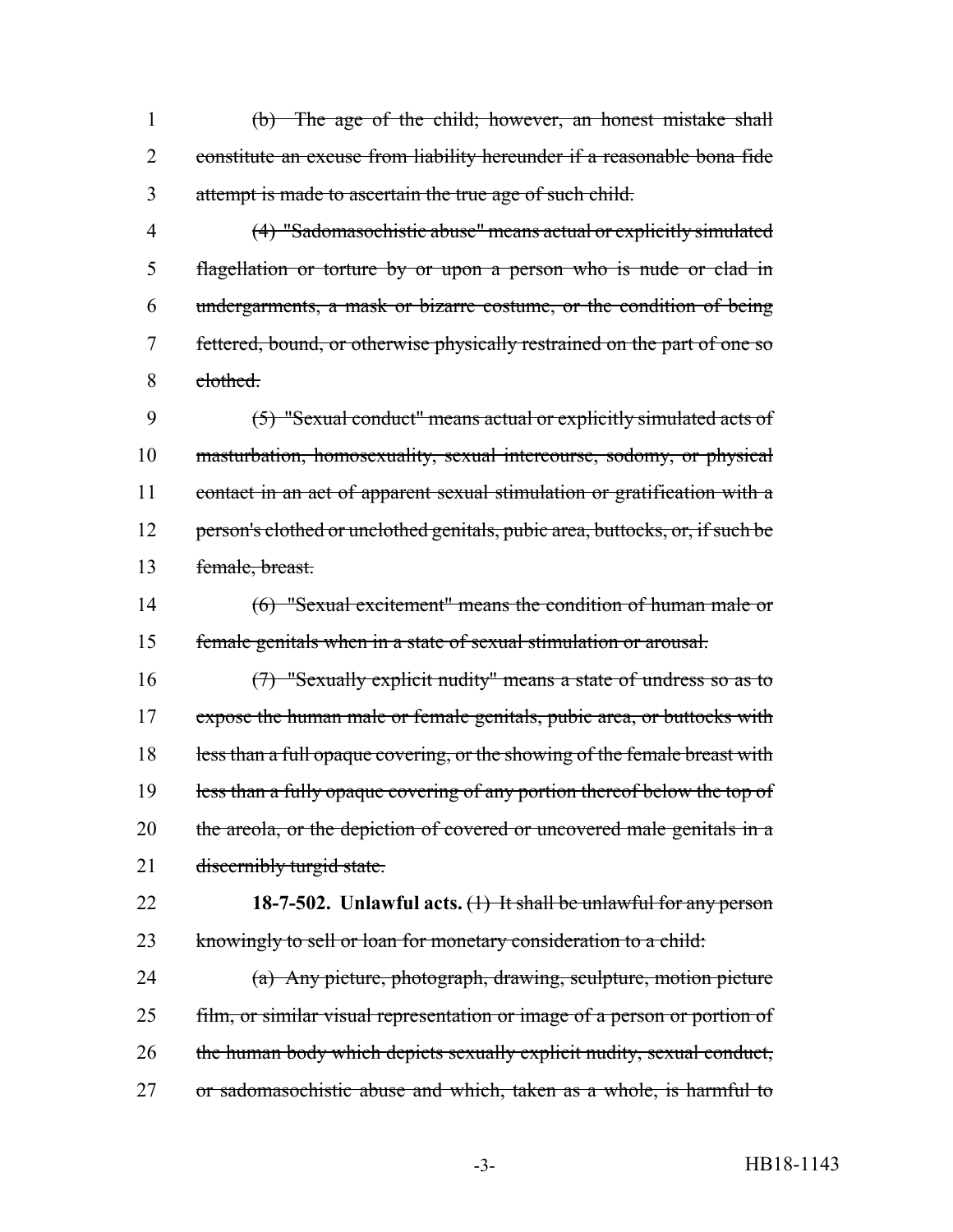(b) The age of the child; however, an honest mistake shall constitute an excuse from liability hereunder if a reasonable bona fide attempt is made to ascertain the true age of such child.

 (4) "Sadomasochistic abuse" means actual or explicitly simulated flagellation or torture by or upon a person who is nude or clad in undergarments, a mask or bizarre costume, or the condition of being 7 fettered, bound, or otherwise physically restrained on the part of one so clothed.

 (5) "Sexual conduct" means actual or explicitly simulated acts of masturbation, homosexuality, sexual intercourse, sodomy, or physical 11 contact in an act of apparent sexual stimulation or gratification with a 12 person's clothed or unclothed genitals, pubic area, buttocks, or, if such be female, breast.

 (6) "Sexual excitement" means the condition of human male or female genitals when in a state of sexual stimulation or arousal.

 (7) "Sexually explicit nudity" means a state of undress so as to 17 expose the human male or female genitals, pubic area, or buttocks with 18 less than a full opaque covering, or the showing of the female breast with 19 less than a fully opaque covering of any portion thereof below the top of 20 the areola, or the depiction of covered or uncovered male genitals in a 21 discernibly turgid state.

 **18-7-502. Unlawful acts.** (1) It shall be unlawful for any person 23 knowingly to sell or loan for monetary consideration to a child:

 (a) Any picture, photograph, drawing, sculpture, motion picture 25 film, or similar visual representation or image of a person or portion of the human body which depicts sexually explicit nudity, sexual conduct, or sadomasochistic abuse and which, taken as a whole, is harmful to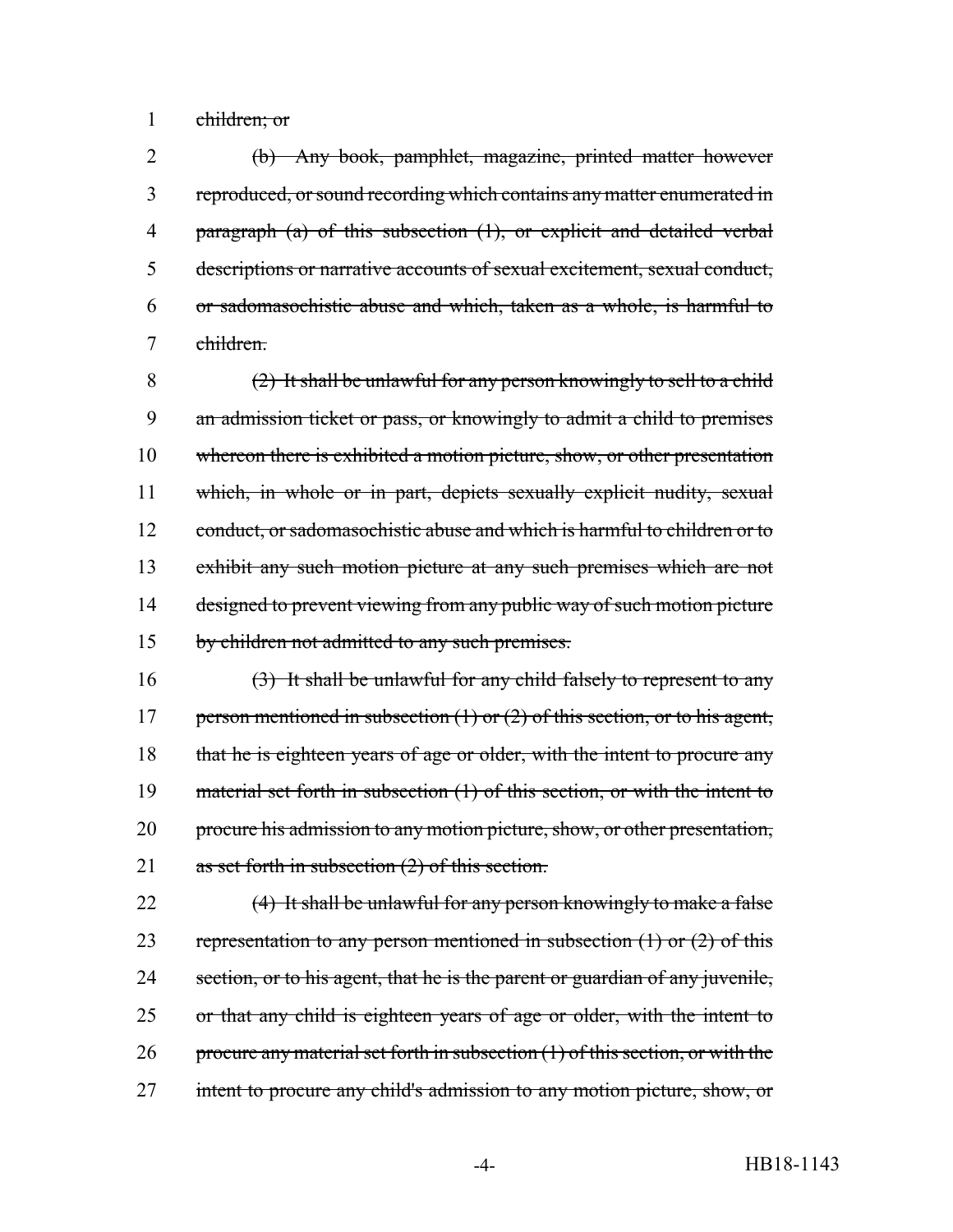1 children; or

 (b) Any book, pamphlet, magazine, printed matter however reproduced, or sound recording which contains any matter enumerated in paragraph (a) of this subsection (1), or explicit and detailed verbal descriptions or narrative accounts of sexual excitement, sexual conduct, or sadomasochistic abuse and which, taken as a whole, is harmful to children.

8 (2) It shall be unlawful for any person knowingly to sell to a child 9 an admission ticket or pass, or knowingly to admit a child to premises 10 whereon there is exhibited a motion picture, show, or other presentation 11 which, in whole or in part, depicts sexually explicit nudity, sexual 12 conduct, or sadomasochistic abuse and which is harmful to children or to 13 exhibit any such motion picture at any such premises which are not 14 designed to prevent viewing from any public way of such motion picture 15 by children not admitted to any such premises.

16  $(3)$  It shall be unlawful for any child falsely to represent to any 17 person mentioned in subsection (1) or (2) of this section, or to his agent, 18 that he is eighteen years of age or older, with the intent to procure any 19 material set forth in subsection (1) of this section, or with the intent to 20 procure his admission to any motion picture, show, or other presentation, 21 as set forth in subsection (2) of this section.

22 (4) It shall be unlawful for any person knowingly to make a false 23 representation to any person mentioned in subsection  $(1)$  or  $(2)$  of this 24 section, or to his agent, that he is the parent or guardian of any juvenile, 25 or that any child is eighteen years of age or older, with the intent to 26 procure any material set forth in subsection  $(1)$  of this section, or with the 27 intent to procure any child's admission to any motion picture, show, or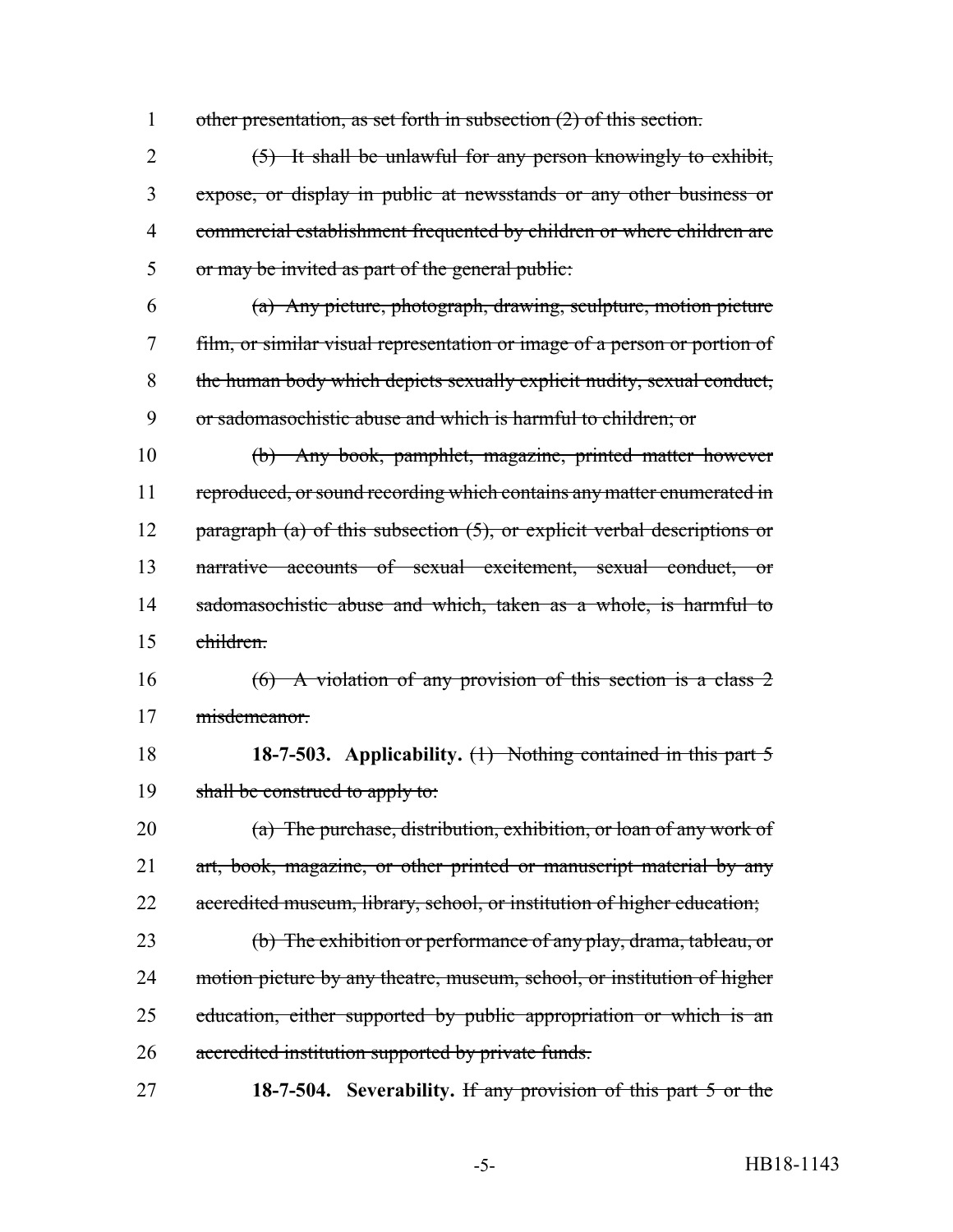1 other presentation, as set forth in subsection (2) of this section.

 (5) It shall be unlawful for any person knowingly to exhibit, expose, or display in public at newsstands or any other business or commercial establishment frequented by children or where children are or may be invited as part of the general public:

 (a) Any picture, photograph, drawing, sculpture, motion picture film, or similar visual representation or image of a person or portion of the human body which depicts sexually explicit nudity, sexual conduct, or sadomasochistic abuse and which is harmful to children; or

 (b) Any book, pamphlet, magazine, printed matter however 11 reproduced, or sound recording which contains any matter enumerated in 12 paragraph (a) of this subsection (5), or explicit verbal descriptions or narrative accounts of sexual excitement, sexual conduct, or 14 sadomasochistic abuse and which, taken as a whole, is harmful to children.

16 (6) A violation of any provision of this section is a class 2 misdemeanor.

 **18-7-503. Applicability.** (1) Nothing contained in this part 5 19 shall be construed to apply to:

 (a) The purchase, distribution, exhibition, or loan of any work of 21 art, book, magazine, or other printed or manuscript material by any 22 accredited museum, library, school, or institution of higher education;

 (b) The exhibition or performance of any play, drama, tableau, or 24 motion picture by any theatre, museum, school, or institution of higher 25 education, either supported by public appropriation or which is an accredited institution supported by private funds.

**18-7-504. Severability.** If any provision of this part 5 or the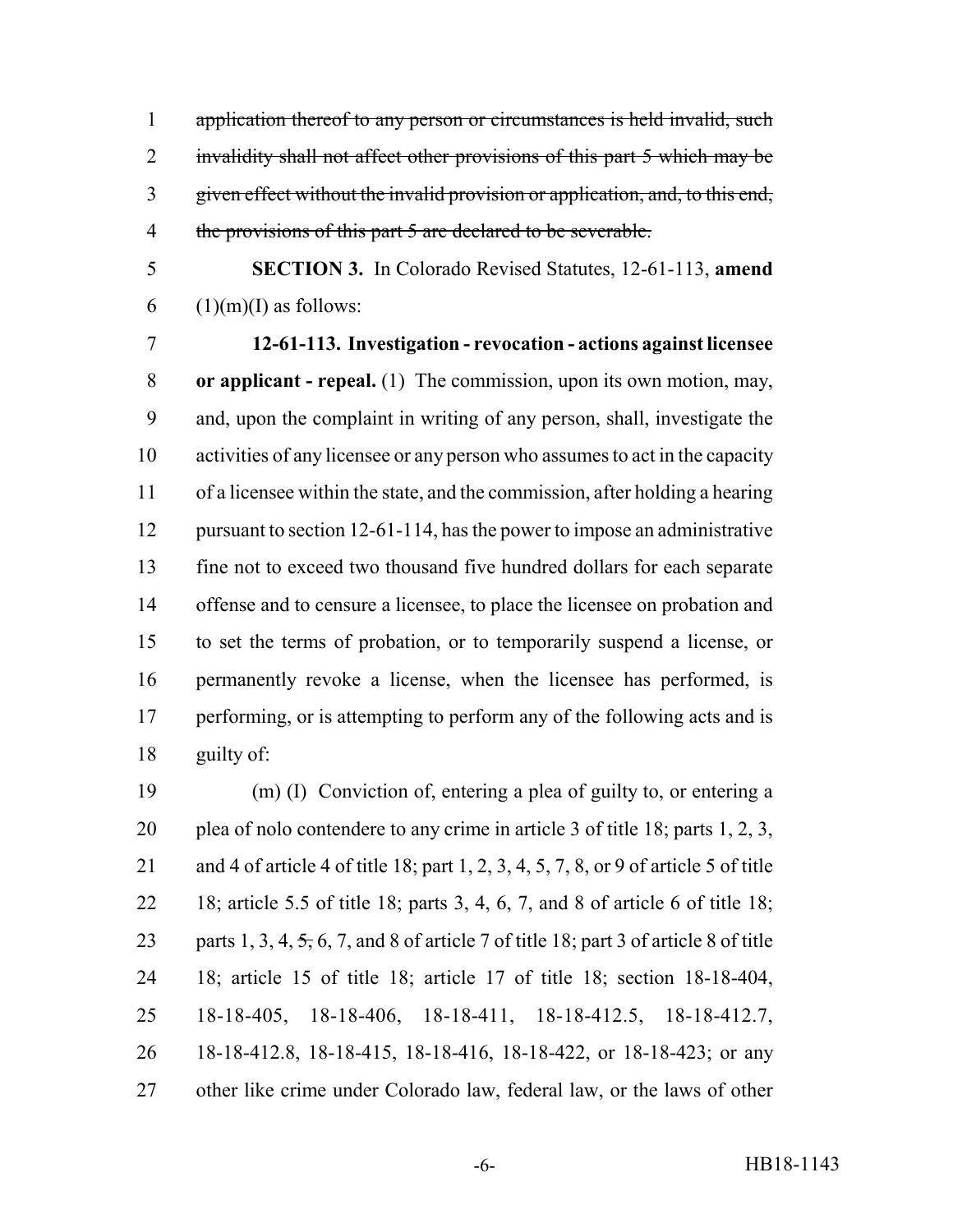1 application thereof to any person or circumstances is held invalid, such 2 invalidity shall not affect other provisions of this part 5 which may be given effect without the invalid provision or application, and, to this end, 4 the provisions of this part 5 are declared to be severable.

 **SECTION 3.** In Colorado Revised Statutes, 12-61-113, **amend** 6  $(1)(m)(I)$  as follows:

 **12-61-113. Investigation - revocation - actions against licensee or applicant - repeal.** (1) The commission, upon its own motion, may, and, upon the complaint in writing of any person, shall, investigate the activities of any licensee or any person who assumes to act in the capacity of a licensee within the state, and the commission, after holding a hearing 12 pursuant to section 12-61-114, has the power to impose an administrative fine not to exceed two thousand five hundred dollars for each separate offense and to censure a licensee, to place the licensee on probation and to set the terms of probation, or to temporarily suspend a license, or permanently revoke a license, when the licensee has performed, is 17 performing, or is attempting to perform any of the following acts and is guilty of:

 (m) (I) Conviction of, entering a plea of guilty to, or entering a plea of nolo contendere to any crime in article 3 of title 18; parts 1, 2, 3, and 4 of article 4 of title 18; part 1, 2, 3, 4, 5, 7, 8, or 9 of article 5 of title 18; article 5.5 of title 18; parts 3, 4, 6, 7, and 8 of article 6 of title 18; 23 parts 1, 3, 4,  $\frac{1}{2}$ , 6, 7, and 8 of article 7 of title 18; part 3 of article 8 of title 18; article 15 of title 18; article 17 of title 18; section 18-18-404, 18-18-405, 18-18-406, 18-18-411, 18-18-412.5, 18-18-412.7, 18-18-412.8, 18-18-415, 18-18-416, 18-18-422, or 18-18-423; or any other like crime under Colorado law, federal law, or the laws of other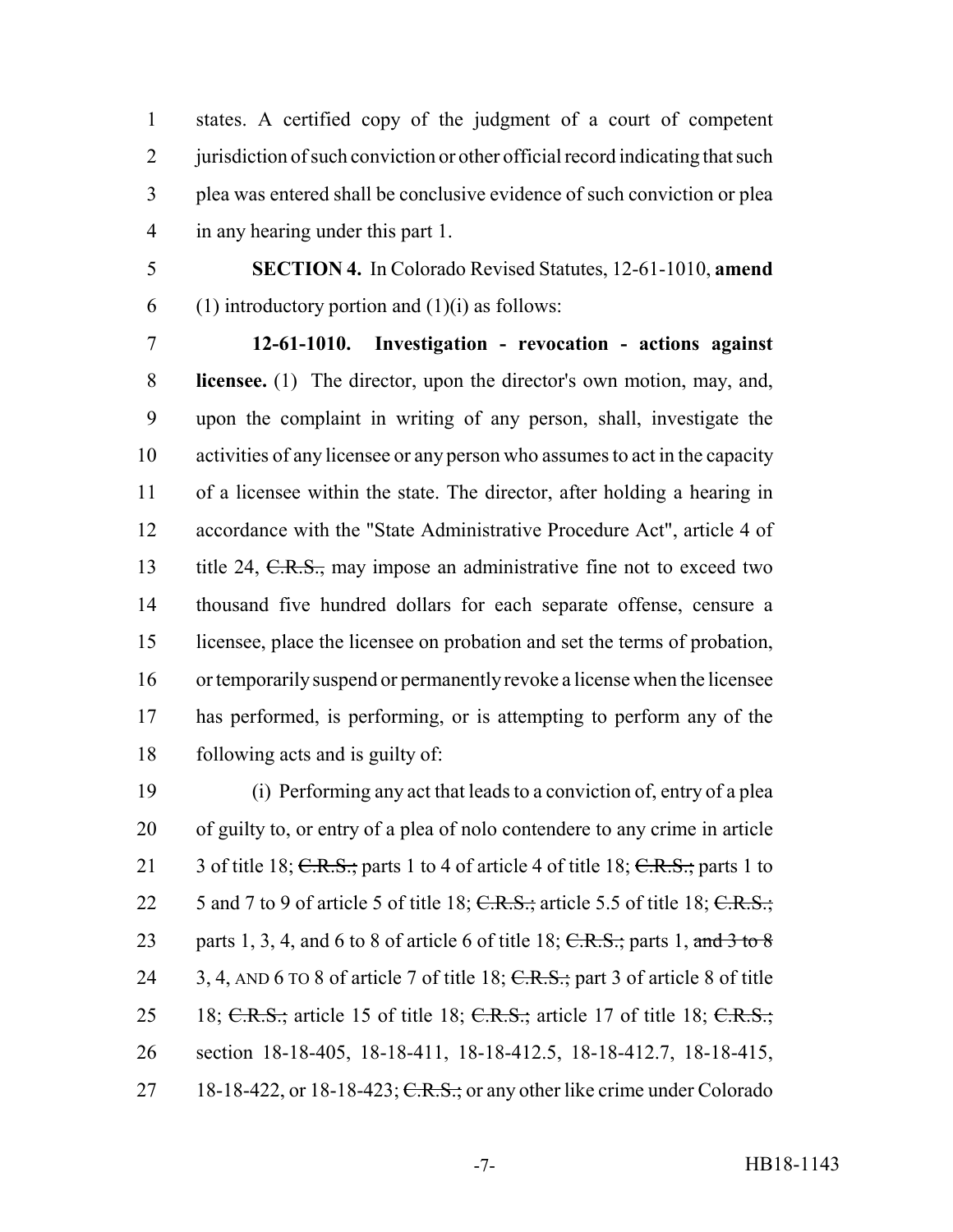states. A certified copy of the judgment of a court of competent 2 jurisdiction of such conviction or other official record indicating that such plea was entered shall be conclusive evidence of such conviction or plea in any hearing under this part 1.

 **SECTION 4.** In Colorado Revised Statutes, 12-61-1010, **amend** 6 (1) introductory portion and  $(1)(i)$  as follows:

 **12-61-1010. Investigation - revocation - actions against licensee.** (1) The director, upon the director's own motion, may, and, upon the complaint in writing of any person, shall, investigate the activities of any licensee or any person who assumes to act in the capacity of a licensee within the state. The director, after holding a hearing in accordance with the "State Administrative Procedure Act", article 4 of 13 title 24, C.R.S., may impose an administrative fine not to exceed two thousand five hundred dollars for each separate offense, censure a licensee, place the licensee on probation and set the terms of probation, or temporarily suspend or permanently revoke a license when the licensee has performed, is performing, or is attempting to perform any of the following acts and is guilty of:

 (i) Performing any act that leads to a conviction of, entry of a plea of guilty to, or entry of a plea of nolo contendere to any crime in article 21 3 of title 18; C.R.S.; parts 1 to 4 of article 4 of title 18; C.R.S.; parts 1 to 22 5 and 7 to 9 of article 5 of title 18;  $C.R.S.:$  article 5.5 of title 18;  $C.R.S.:$ 23 parts 1, 3, 4, and 6 to 8 of article 6 of title 18;  $C.R.S.;$  parts 1, and 3 to 8 24 3, 4, AND 6 TO 8 of article 7 of title 18; C.R.S.; part 3 of article 8 of title 25 18; C.R.S.; article 15 of title 18; C.R.S.; article 17 of title 18; C.R.S.; section 18-18-405, 18-18-411, 18-18-412.5, 18-18-412.7, 18-18-415, 27 18-18-422, or 18-18-423;  $C.R.S.:$  or any other like crime under Colorado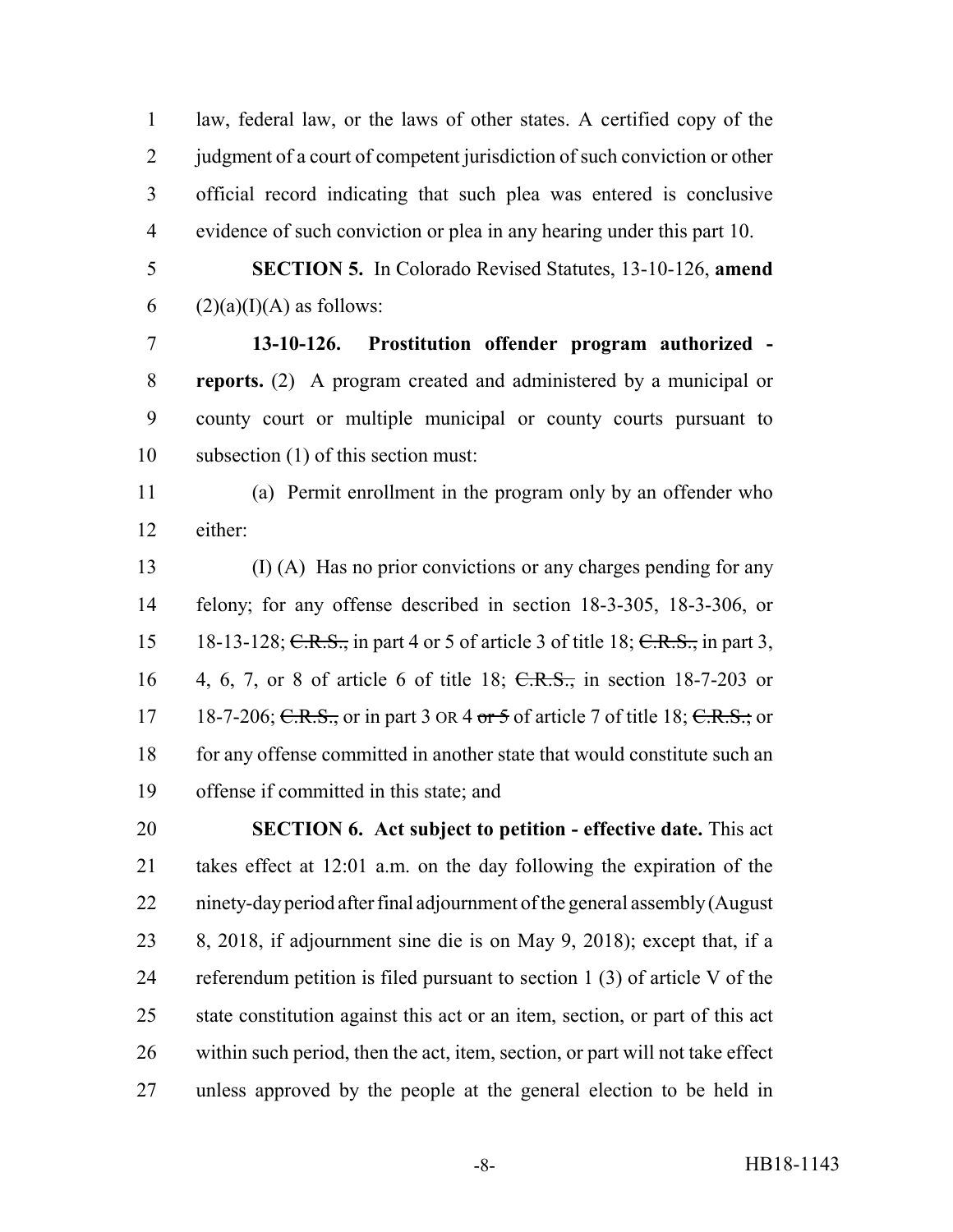law, federal law, or the laws of other states. A certified copy of the 2 judgment of a court of competent jurisdiction of such conviction or other official record indicating that such plea was entered is conclusive evidence of such conviction or plea in any hearing under this part 10.

 **SECTION 5.** In Colorado Revised Statutes, 13-10-126, **amend** 6 (2)(a)(I)(A) as follows:

 **13-10-126. Prostitution offender program authorized - reports.** (2) A program created and administered by a municipal or county court or multiple municipal or county courts pursuant to subsection (1) of this section must:

 (a) Permit enrollment in the program only by an offender who either:

 (I) (A) Has no prior convictions or any charges pending for any felony; for any offense described in section 18-3-305, 18-3-306, or 15 18-13-128; C.R.S., in part 4 or 5 of article 3 of title 18; C.R.S., in part 3, 4, 6, 7, or 8 of article 6 of title 18; C.R.S., in section 18-7-203 or 17 18-7-206; C.R.S., or in part 3 or  $4 \text{ or } 5$  of article 7 of title 18; C.R.S.; or for any offense committed in another state that would constitute such an offense if committed in this state; and

 **SECTION 6. Act subject to petition - effective date.** This act takes effect at 12:01 a.m. on the day following the expiration of the ninety-day period after final adjournment of the general assembly (August 8, 2018, if adjournment sine die is on May 9, 2018); except that, if a referendum petition is filed pursuant to section 1 (3) of article V of the state constitution against this act or an item, section, or part of this act within such period, then the act, item, section, or part will not take effect unless approved by the people at the general election to be held in